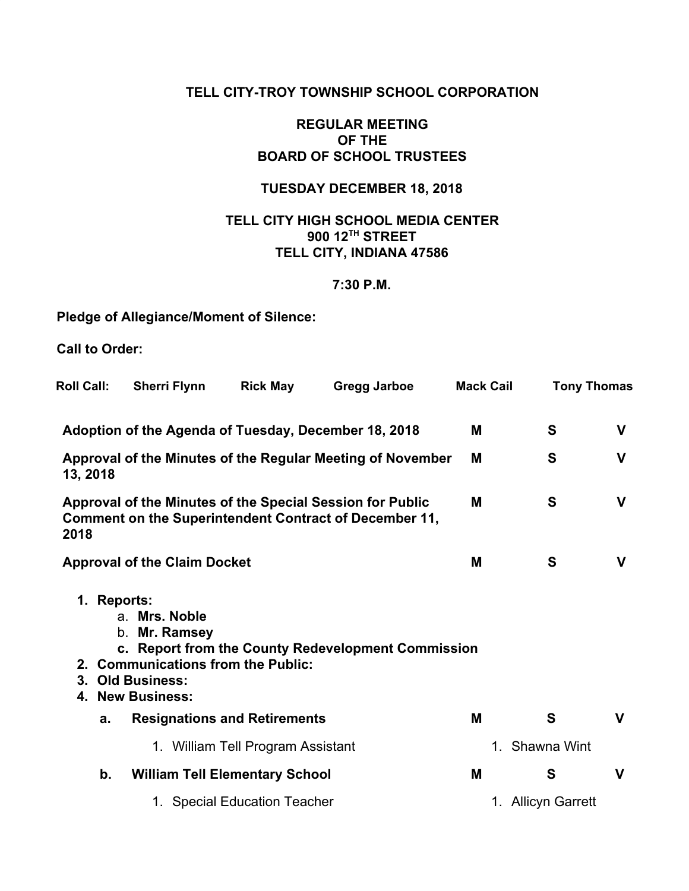### **TELL CITY-TROY TOWNSHIP SCHOOL CORPORATION**

### **REGULAR MEETING OF THE BOARD OF SCHOOL TRUSTEES**

## **TUESDAY DECEMBER 18, 2018**

## **TELL CITY HIGH SCHOOL MEDIA CENTER 900 12TH STREET TELL CITY, INDIANA 47586**

### **7:30 P.M.**

## **Pledge of Allegiance/Moment of Silence:**

**Call to Order:**

| <b>Roll Call:</b>                                                      | <b>Sherri Flynn</b>                                                                                             | <b>Rick May</b>                   | Gregg Jarboe                                                                                                        | <b>Mack Cail</b> | <b>Tony Thomas</b> |             |
|------------------------------------------------------------------------|-----------------------------------------------------------------------------------------------------------------|-----------------------------------|---------------------------------------------------------------------------------------------------------------------|------------------|--------------------|-------------|
|                                                                        |                                                                                                                 |                                   | Adoption of the Agenda of Tuesday, December 18, 2018                                                                | M                | S                  | V           |
| Approval of the Minutes of the Regular Meeting of November<br>13, 2018 |                                                                                                                 |                                   |                                                                                                                     | M                | S                  | V           |
| 2018                                                                   |                                                                                                                 |                                   | Approval of the Minutes of the Special Session for Public<br>Comment on the Superintendent Contract of December 11, | M                | S                  | $\mathbf V$ |
|                                                                        | <b>Approval of the Claim Docket</b>                                                                             |                                   |                                                                                                                     | M                | S                  | $\mathbf V$ |
| 1. Reports:                                                            | a. Mrs. Noble<br>Mr. Ramsey<br>b.<br>2. Communications from the Public:<br>3. Old Business:<br>4. New Business: |                                   | c. Report from the County Redevelopment Commission                                                                  |                  |                    |             |
| a.                                                                     | <b>Resignations and Retirements</b>                                                                             |                                   |                                                                                                                     | M                | S                  | V           |
|                                                                        |                                                                                                                 | 1. William Tell Program Assistant |                                                                                                                     |                  | 1. Shawna Wint     |             |
| b.                                                                     | <b>William Tell Elementary School</b>                                                                           |                                   |                                                                                                                     | M                | S                  | $\mathbf v$ |
|                                                                        |                                                                                                                 | 1. Special Education Teacher      |                                                                                                                     |                  | 1. Allicyn Garrett |             |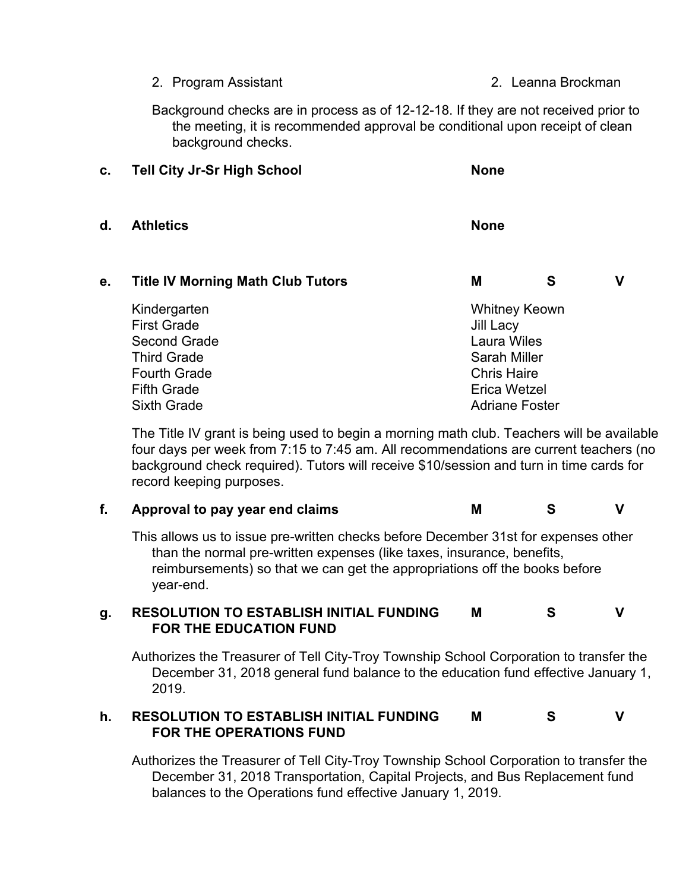- 2. Program Assistant 2. Leanna Brockman
- 

Background checks are in process as of 12-12-18. If they are not received prior to the meeting, it is recommended approval be conditional upon receipt of clean background checks.

| c.                 | <b>Tell City Jr-Sr High School</b>       | <b>None</b>           |   |   |  |
|--------------------|------------------------------------------|-----------------------|---|---|--|
| d.                 | <b>Athletics</b>                         | <b>None</b>           |   |   |  |
| е.                 | <b>Title IV Morning Math Club Tutors</b> | M                     | S | V |  |
|                    | Kindergarten                             | <b>Whitney Keown</b>  |   |   |  |
|                    | <b>First Grade</b>                       | Jill Lacy             |   |   |  |
| Second Grade       |                                          | Laura Wiles           |   |   |  |
|                    | <b>Third Grade</b>                       | Sarah Miller          |   |   |  |
|                    | <b>Fourth Grade</b>                      | <b>Chris Haire</b>    |   |   |  |
|                    | <b>Fifth Grade</b>                       | Erica Wetzel          |   |   |  |
| <b>Sixth Grade</b> |                                          | <b>Adriane Foster</b> |   |   |  |

The Title IV grant is being used to begin a morning math club. Teachers will be available four days per week from 7:15 to 7:45 am. All recommendations are current teachers (no background check required). Tutors will receive \$10/session and turn in time cards for record keeping purposes.

### **f. Approval to pay year end claims M S V**

This allows us to issue pre-written checks before December 31st for expenses other than the normal pre-written expenses (like taxes, insurance, benefits, reimbursements) so that we can get the appropriations off the books before year-end.

#### **g. RESOLUTION TO ESTABLISH INITIAL FUNDING FOR THE EDUCATION FUND M S V**

Authorizes the Treasurer of Tell City-Troy Township School Corporation to transfer the December 31, 2018 general fund balance to the education fund effective January 1, 2019.

#### **h. RESOLUTION TO ESTABLISH INITIAL FUNDING FOR THE OPERATIONS FUND M S V**

Authorizes the Treasurer of Tell City-Troy Township School Corporation to transfer the December 31, 2018 Transportation, Capital Projects, and Bus Replacement fund balances to the Operations fund effective January 1, 2019.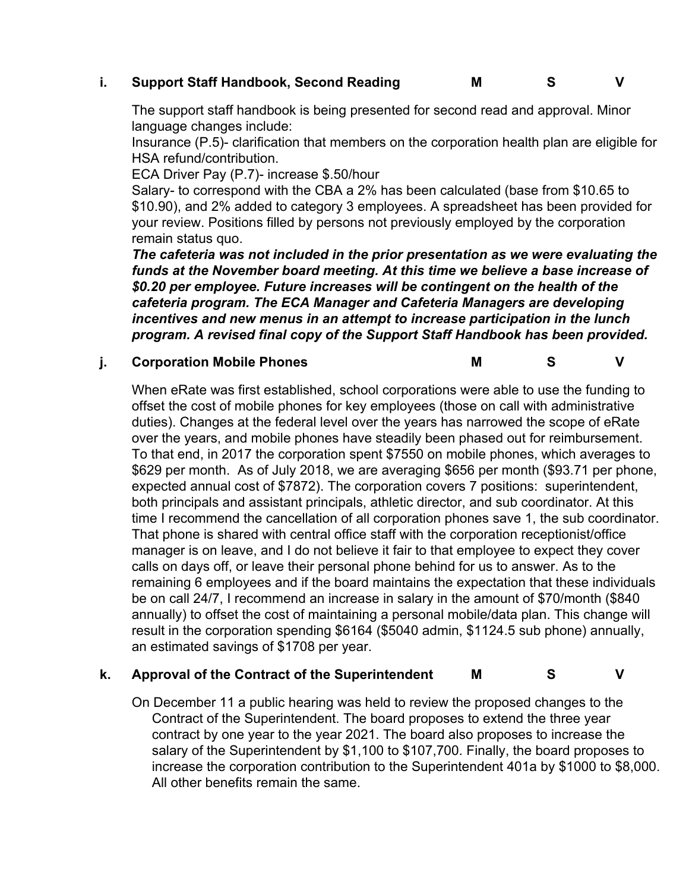## **i. Support Staff Handbook, Second Reading M S V**

The support staff handbook is being presented for second read and approval. Minor language changes include:

Insurance (P.5)- clarification that members on the corporation health plan are eligible for HSA refund/contribution.

ECA Driver Pay (P.7)- increase \$.50/hour

Salary- to correspond with the CBA a 2% has been calculated (base from \$10.65 to \$10.90), and 2% added to category 3 employees. A spreadsheet has been provided for your review. Positions filled by persons not previously employed by the corporation remain status quo.

*The cafeteria was not included in the prior presentation as we were evaluating the funds at the November board meeting. At this time we believe a base increase of \$0.20 per employee. Future increases will be contingent on the health of the cafeteria program. The ECA Manager and Cafeteria Managers are developing incentives and new menus in an attempt to increase participation in the lunch program. A revised final copy of the Support Staff Handbook has been provided.*

### **j. Corporation Mobile Phones M S V**

When eRate was first established, school corporations were able to use the funding to offset the cost of mobile phones for key employees (those on call with administrative duties). Changes at the federal level over the years has narrowed the scope of eRate over the years, and mobile phones have steadily been phased out for reimbursement. To that end, in 2017 the corporation spent \$7550 on mobile phones, which averages to \$629 per month. As of July 2018, we are averaging \$656 per month (\$93.71 per phone, expected annual cost of \$7872). The corporation covers 7 positions: superintendent, both principals and assistant principals, athletic director, and sub coordinator. At this time I recommend the cancellation of all corporation phones save 1, the sub coordinator. That phone is shared with central office staff with the corporation receptionist/office manager is on leave, and I do not believe it fair to that employee to expect they cover calls on days off, or leave their personal phone behind for us to answer. As to the remaining 6 employees and if the board maintains the expectation that these individuals be on call 24/7, I recommend an increase in salary in the amount of \$70/month (\$840 annually) to offset the cost of maintaining a personal mobile/data plan. This change will result in the corporation spending \$6164 (\$5040 admin, \$1124.5 sub phone) annually, an estimated savings of \$1708 per year.

## **k. Approval of the Contract of the Superintendent M S V**

On December 11 a public hearing was held to review the proposed changes to the Contract of the Superintendent. The board proposes to extend the three year contract by one year to the year 2021. The board also proposes to increase the salary of the Superintendent by \$1,100 to \$107,700. Finally, the board proposes to increase the corporation contribution to the Superintendent 401a by \$1000 to \$8,000. All other benefits remain the same.